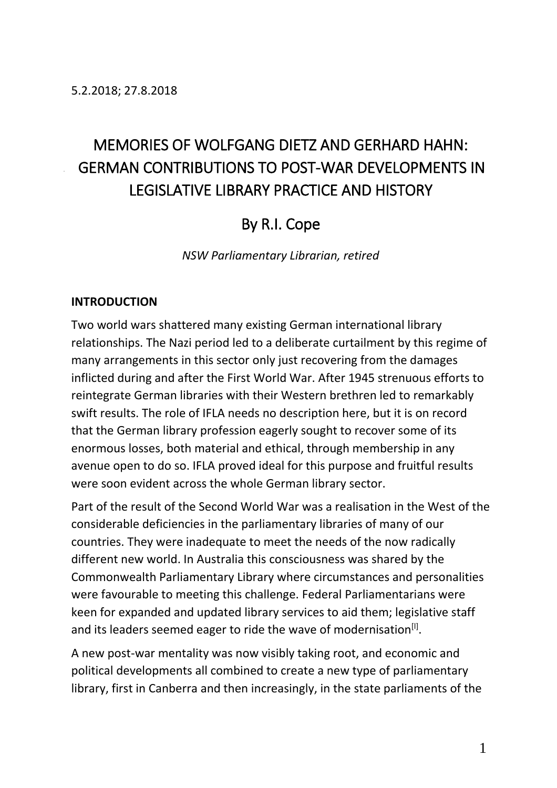# MEMORIES OF WOLFGANG DIETZ AND GERHARD HAHN: GERMAN CONTRIBUTIONS TO POST-WAR DEVELOPMENTS IN LEGISLATIVE LIBRARY PRACTICE AND HISTORY

# By R.I. Cope

*NSW Parliamentary Librarian, retired*

#### **INTRODUCTION**

Two world wars shattered many existing German international library relationships. The Nazi period led to a deliberate curtailment by this regime of many arrangements in this sector only just recovering from the damages inflicted during and after the First World War. After 1945 strenuous efforts to reintegrate German libraries with their Western brethren led to remarkably swift results. The role of IFLA needs no description here, but it is on record that the German library profession eagerly sought to recover some of its enormous losses, both material and ethical, through membership in any avenue open to do so. IFLA proved ideal for this purpose and fruitful results were soon evident across the whole German library sector.

Part of the result of the Second World War was a realisation in the West of the considerable deficiencies in the parliamentary libraries of many of our countries. They were inadequate to meet the needs of the now radically different new world. In Australia this consciousness was shared by the Commonwealth Parliamentary Library where circumstances and personalities were favourable to meeting this challenge. Federal Parliamentarians were keen for expanded and updated library services to aid them; legislative staff and its leaders seemed eager to ride the wave of modernisation $^{[1]}$ .

A new post-war mentality was now visibly taking root, and economic and political developments all combined to create a new type of parliamentary library, first in Canberra and then increasingly, in the state parliaments of the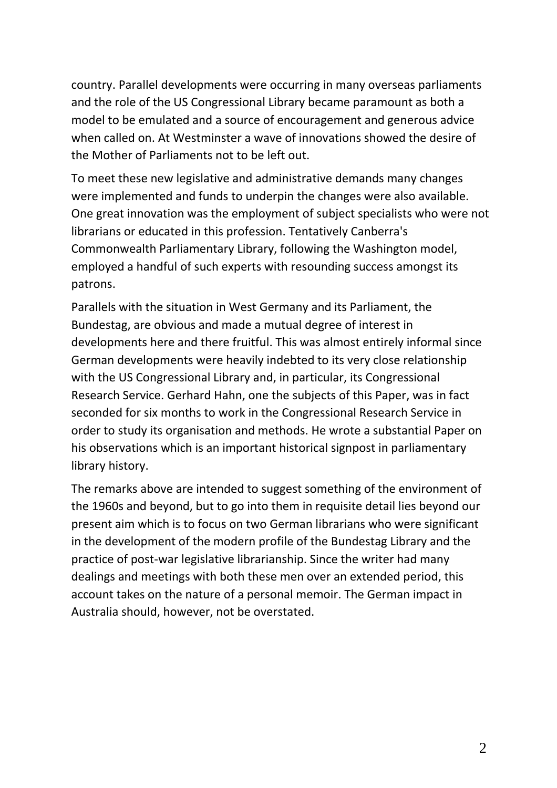country. Parallel developments were occurring in many overseas parliaments and the role of the US Congressional Library became paramount as both a model to be emulated and a source of encouragement and generous advice when called on. At Westminster a wave of innovations showed the desire of the Mother of Parliaments not to be left out.

To meet these new legislative and administrative demands many changes were implemented and funds to underpin the changes were also available. One great innovation was the employment of subject specialists who were not librarians or educated in this profession. Tentatively Canberra's Commonwealth Parliamentary Library, following the Washington model, employed a handful of such experts with resounding success amongst its patrons.

Parallels with the situation in West Germany and its Parliament, the Bundestag, are obvious and made a mutual degree of interest in developments here and there fruitful. This was almost entirely informal since German developments were heavily indebted to its very close relationship with the US Congressional Library and, in particular, its Congressional Research Service. Gerhard Hahn, one the subjects of this Paper, was in fact seconded for six months to work in the Congressional Research Service in order to study its organisation and methods. He wrote a substantial Paper on his observations which is an important historical signpost in parliamentary library history.

The remarks above are intended to suggest something of the environment of the 1960s and beyond, but to go into them in requisite detail lies beyond our present aim which is to focus on two German librarians who were significant in the development of the modern profile of the Bundestag Library and the practice of post-war legislative librarianship. Since the writer had many dealings and meetings with both these men over an extended period, this account takes on the nature of a personal memoir. The German impact in Australia should, however, not be overstated.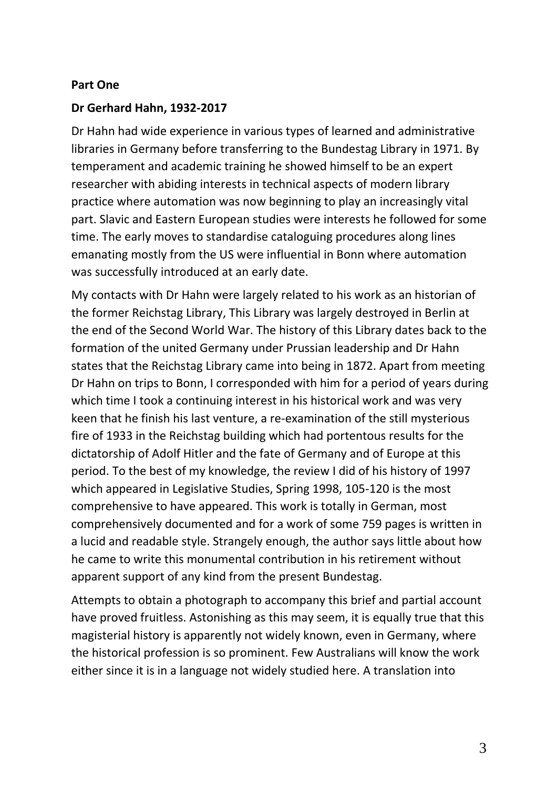#### **Part One**

## **Dr Gerhard Hahn, 1932-2017**

Dr Hahn had wide experience in various types of learned and administrative libraries in Germany before transferring to the Bundestag Library in 1971. By temperament and academic training he showed himself to be an expert researcher with abiding interests in technical aspects of modern library practice where automation was now beginning to play an increasingly vital part. Slavic and Eastern European studies were interests he followed for some time. The early moves to standardise cataloguing procedures along lines emanating mostly from the US were influential in Bonn where automation was successfully introduced at an early date.

My contacts with Dr Hahn were largely related to his work as an historian of the former Reichstag Library, This Library was largely destroyed in Berlin at the end of the Second World War. The history of this Library dates back to the formation of the united Germany under Prussian leadership and Dr Hahn states that the Reichstag Library came into being in 1872. Apart from meeting Dr Hahn on trips to Bonn, I corresponded with him for a period of years during which time I took a continuing interest in his historical work and was very keen that he finish his last venture, a re-examination of the still mysterious fire of 1933 in the Reichstag building which had portentous results for the dictatorship of Adolf Hitler and the fate of Germany and of Europe at this period. To the best of my knowledge, the review I did of his history of 1997 which appeared in Legislative Studies, Spring 1998, 105-120 is the most comprehensive to have appeared. This work is totally in German, most comprehensively documented and for a work of some 759 pages is written in a lucid and readable style. Strangely enough, the author says little about how he came to write this monumental contribution in his retirement without apparent support of any kind from the present Bundestag.

Attempts to obtain a photograph to accompany this brief and partial account have proved fruitless. Astonishing as this may seem, it is equally true that this magisterial history is apparently not widely known, even in Germany, where the historical profession is so prominent. Few Australians will know the work either since it is in a language not widely studied here. A translation into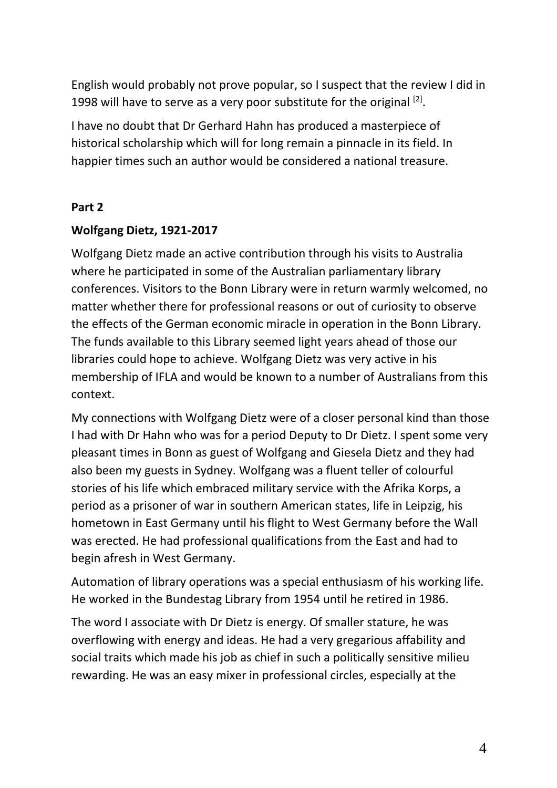English would probably not prove popular, so I suspect that the review I did in 1998 will have to serve as a very poor substitute for the original  $^{[2]}$ .

I have no doubt that Dr Gerhard Hahn has produced a masterpiece of historical scholarship which will for long remain a pinnacle in its field. In happier times such an author would be considered a national treasure.

#### **Part 2**

## **Wolfgang Dietz, 1921-2017**

Wolfgang Dietz made an active contribution through his visits to Australia where he participated in some of the Australian parliamentary library conferences. Visitors to the Bonn Library were in return warmly welcomed, no matter whether there for professional reasons or out of curiosity to observe the effects of the German economic miracle in operation in the Bonn Library. The funds available to this Library seemed light years ahead of those our libraries could hope to achieve. Wolfgang Dietz was very active in his membership of IFLA and would be known to a number of Australians from this context.

My connections with Wolfgang Dietz were of a closer personal kind than those I had with Dr Hahn who was for a period Deputy to Dr Dietz. I spent some very pleasant times in Bonn as guest of Wolfgang and Giesela Dietz and they had also been my guests in Sydney. Wolfgang was a fluent teller of colourful stories of his life which embraced military service with the Afrika Korps, a period as a prisoner of war in southern American states, life in Leipzig, his hometown in East Germany until his flight to West Germany before the Wall was erected. He had professional qualifications from the East and had to begin afresh in West Germany.

Automation of library operations was a special enthusiasm of his working life. He worked in the Bundestag Library from 1954 until he retired in 1986.

The word I associate with Dr Dietz is energy. Of smaller stature, he was overflowing with energy and ideas. He had a very gregarious affability and social traits which made his job as chief in such a politically sensitive milieu rewarding. He was an easy mixer in professional circles, especially at the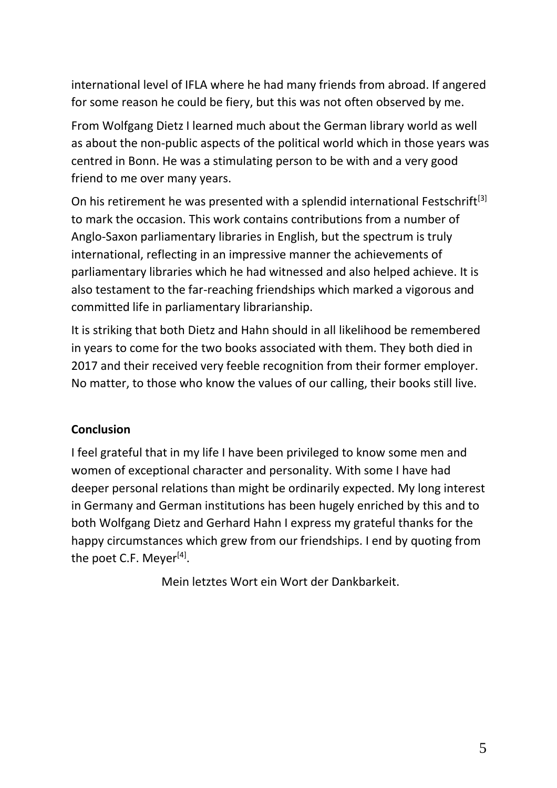international level of IFLA where he had many friends from abroad. If angered for some reason he could be fiery, but this was not often observed by me.

From Wolfgang Dietz I learned much about the German library world as well as about the non-public aspects of the political world which in those years was centred in Bonn. He was a stimulating person to be with and a very good friend to me over many years.

On his retirement he was presented with a splendid international Festschrift<sup>[3]</sup> to mark the occasion. This work contains contributions from a number of Anglo-Saxon parliamentary libraries in English, but the spectrum is truly international, reflecting in an impressive manner the achievements of parliamentary libraries which he had witnessed and also helped achieve. It is also testament to the far-reaching friendships which marked a vigorous and committed life in parliamentary librarianship.

It is striking that both Dietz and Hahn should in all likelihood be remembered in years to come for the two books associated with them. They both died in 2017 and their received very feeble recognition from their former employer. No matter, to those who know the values of our calling, their books still live.

# **Conclusion**

I feel grateful that in my life I have been privileged to know some men and women of exceptional character and personality. With some I have had deeper personal relations than might be ordinarily expected. My long interest in Germany and German institutions has been hugely enriched by this and to both Wolfgang Dietz and Gerhard Hahn I express my grateful thanks for the happy circumstances which grew from our friendships. I end by quoting from the poet C.F. Meyer<sup>[4]</sup>.

Mein letztes Wort ein Wort der Dankbarkeit.